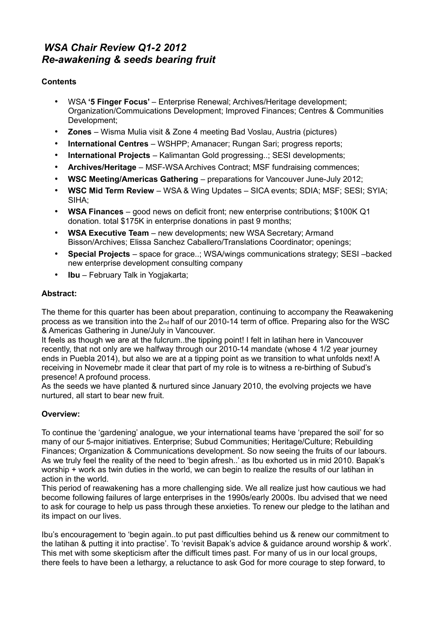# *WSA Chair Review Q1-2 2012 Re-awakening & seeds bearing fruit*

# **Contents**

- WSA **'5 Finger Focus'**  Enterprise Renewal; Archives/Heritage development; Organization/Commuications Development; Improved Finances; Centres & Communities Development;
- **Zones**  Wisma Mulia visit & Zone 4 meeting Bad Voslau, Austria (pictures)
- **International Centres**  WSHPP; Amanacer; Rungan Sari; progress reports;
- **International Projects**  Kalimantan Gold progressing..; SESI developments;
- **Archives/Heritage**  MSF-WSA Archives Contract; MSF fundraising commences;
- **WSC Meeting/Americas Gathering**  preparations for Vancouver June-July 2012;
- **WSC Mid Term Review**  WSA & Wing Updates SICA events; SDIA; MSF; SESI; SYIA; SIHA;
- **WSA Finances**  good news on deficit front; new enterprise contributions; \$100K Q1 donation. total \$175K in enterprise donations in past 9 months;
- **WSA Executive Team**  new developments; new WSA Secretary; Armand Bisson/Archives; Elissa Sanchez Caballero/Translations Coordinator; openings;
- **Special Projects**  space for grace..; WSA/wings communications strategy; SESI –backed new enterprise development consulting company
- **Ibu**  February Talk in Yogjakarta;

# **Abstract:**

The theme for this quarter has been about preparation, continuing to accompany the Reawakening process as we transition into the 2<sub>nd</sub> half of our 2010-14 term of office. Preparing also for the WSC & Americas Gathering in June/July in Vancouver.

It feels as though we are at the fulcrum..the tipping point! I felt in latihan here in Vancouver recently, that not only are we halfway through our 2010-14 mandate (whose 4 1/2 year journey ends in Puebla 2014), but also we are at a tipping point as we transition to what unfolds next! A receiving in Novemebr made it clear that part of my role is to witness a re-birthing of Subud's presence! A profound process.

As the seeds we have planted & nurtured since January 2010, the evolving projects we have nurtured, all start to bear new fruit.

# **Overview:**

To continue the 'gardening' analogue, we your international teams have 'prepared the soil' for so many of our 5-major initiatives. Enterprise; Subud Communities; Heritage/Culture; Rebuilding Finances; Organization & Communications development. So now seeing the fruits of our labours. As we truly feel the reality of the need to 'begin afresh..' as Ibu exhorted us in mid 2010. Bapak's worship + work as twin duties in the world, we can begin to realize the results of our latihan in action in the world.

This period of reawakening has a more challenging side. We all realize just how cautious we had become following failures of large enterprises in the 1990s/early 2000s. Ibu advised that we need to ask for courage to help us pass through these anxieties. To renew our pledge to the latihan and its impact on our lives.

Ibu's encouragement to 'begin again..to put past difficulties behind us & renew our commitment to the latihan & putting it into practise'. To 'revisit Bapak's advice & guidance around worship & work'. This met with some skepticism after the difficult times past. For many of us in our local groups, there feels to have been a lethargy, a reluctance to ask God for more courage to step forward, to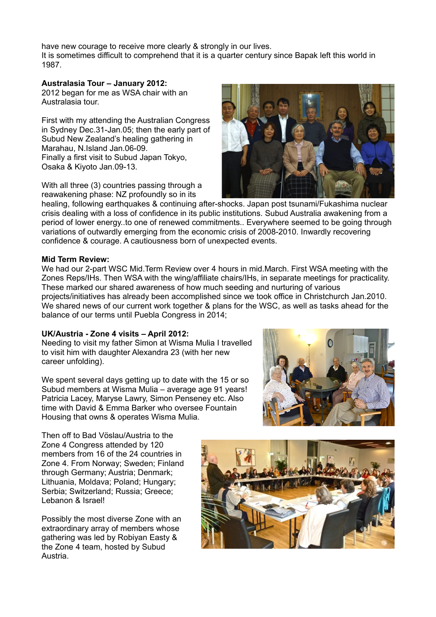have new courage to receive more clearly & strongly in our lives. It is sometimes difficult to comprehend that it is a quarter century since Bapak left this world in 1987.

### **Australasia Tour – January 2012:**

2012 began for me as WSA chair with an Australasia tour.

First with my attending the Australian Congress in Sydney Dec.31-Jan.05; then the early part of Subud New Zealand's healing gathering in Marahau, N.Island Jan.06-09. Finally a first visit to Subud Japan Tokyo, Osaka & Kiyoto Jan.09-13.

With all three (3) countries passing through a reawakening phase: NZ profoundly so in its

healing, following earthquakes & continuing after-shocks. Japan post tsunami/Fukashima nuclear crisis dealing with a loss of confidence in its public institutions. Subud Australia awakening from a period of lower energy..to one of renewed commitments.. Everywhere seemed to be going through variations of outwardly emerging from the economic crisis of 2008-2010. Inwardly recovering confidence & courage. A cautiousness born of unexpected events.

#### **Mid Term Review:**

We had our 2-part WSC Mid.Term Review over 4 hours in mid.March. First WSA meeting with the Zones Reps/IHs. Then WSA with the wing/affiliate chairs/IHs, in separate meetings for practicality. These marked our shared awareness of how much seeding and nurturing of various projects/initiatives has already been accomplished since we took office in Christchurch Jan.2010. We shared news of our current work together & plans for the WSC, as well as tasks ahead for the balance of our terms until Puebla Congress in 2014;

#### **UK/Austria - Zone 4 visits – April 2012:**

Needing to visit my father Simon at Wisma Mulia I travelled to visit him with daughter Alexandra 23 (with her new career unfolding).

We spent several days getting up to date with the 15 or so Subud members at Wisma Mulia – average age 91 years! Patricia Lacey, Maryse Lawry, Simon Penseney etc. Also time with David & Emma Barker who oversee Fountain Housing that owns & operates Wisma Mulia.

Then off to Bad Vöslau/Austria to the Zone 4 Congress attended by 120 members from 16 of the 24 countries in Zone 4. From Norway; Sweden; Finland through Germany; Austria; Denmark; Lithuania, Moldava; Poland; Hungary; Serbia; Switzerland; Russia; Greece; Lebanon & Israel!

Possibly the most diverse Zone with an extraordinary array of members whose gathering was led by Robiyan Easty & the Zone 4 team, hosted by Subud Austria.





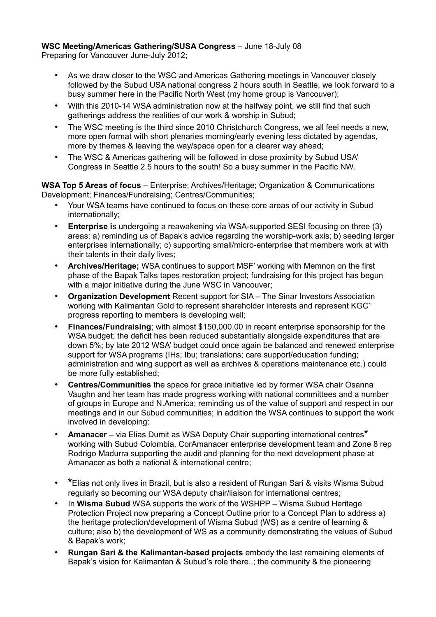## **WSC Meeting/Americas Gathering/SUSA Congress** – June 18-July 08

Preparing for Vancouver June-July 2012;

- As we draw closer to the WSC and Americas Gathering meetings in Vancouver closely followed by the Subud USA national congress 2 hours south in Seattle, we look forward to a busy summer here in the Pacific North West (my home group is Vancouver);
- With this 2010-14 WSA administration now at the halfway point, we still find that such gatherings address the realities of our work & worship in Subud;
- The WSC meeting is the third since 2010 Christchurch Congress, we all feel needs a new, more open format with short plenaries morning/early evening less dictated by agendas, more by themes & leaving the way/space open for a clearer way ahead;
- The WSC & Americas gathering will be followed in close proximity by Subud USA' Congress in Seattle 2.5 hours to the south! So a busy summer in the Pacific NW.

**WSA Top 5 Areas of focus** – Enterprise; Archives/Heritage; Organization & Communications Development; Finances/Fundraising; Centres/Communities;

- Your WSA teams have continued to focus on these core areas of our activity in Subud internationally;
- **Enterprise i**s undergoing a reawakening via WSA-supported SESI focusing on three (3) areas: a) reminding us of Bapak's advice regarding the worship-work axis; b) seeding larger enterprises internationally; c) supporting small/micro-enterprise that members work at with their talents in their daily lives;
- **Archives/Heritage;** WSA continues to support MSF' working with Memnon on the first phase of the Bapak Talks tapes restoration project; fundraising for this project has begun with a major initiative during the June WSC in Vancouver;
- **Organization Development** Recent support for SIA The Sinar Investors Association working with Kalimantan Gold to represent shareholder interests and represent KGC' progress reporting to members is developing well;
- **Finances/Fundraising**; with almost \$150,000.00 in recent enterprise sponsorship for the WSA budget; the deficit has been reduced substantially alongside expenditures that are down 5%; by late 2012 WSA' budget could once again be balanced and renewed enterprise support for WSA programs (IHs; Ibu; translations; care support/education funding; administration and wing support as well as archives & operations maintenance etc.) could be more fully established;
- **Centres/Communities** the space for grace initiative led by former WSA chair Osanna Vaughn and her team has made progress working with national committees and a number of groups in Europe and N.America; reminding us of the value of support and respect in our meetings and in our Subud communities; in addition the WSA continues to support the work involved in developing:
- **Amanacer**  via Elias Dumit as WSA Deputy Chair supporting international centres**\***  working with Subud Colombia, CorAmanacer enterprise development team and Zone 8 rep Rodrigo Madurra supporting the audit and planning for the next development phase at Amanacer as both a national & international centre;
- **\***Elias not only lives in Brazil, but is also a resident of Rungan Sari & visits Wisma Subud regularly so becoming our WSA deputy chair/liaison for international centres;
- In **Wisma Subud** WSA supports the work of the WSHPP Wisma Subud Heritage Protection Project now preparing a Concept Outline prior to a Concept Plan to address a) the heritage protection/development of Wisma Subud (WS) as a centre of learning & culture; also b) the development of WS as a community demonstrating the values of Subud & Bapak's work;
- **Rungan Sari & the Kalimantan-based projects** embody the last remaining elements of Bapak's vision for Kalimantan & Subud's role there..; the community & the pioneering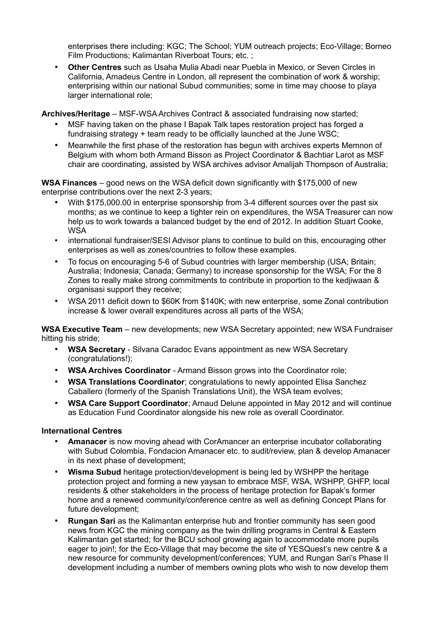enterprises there including: KGC; The School; YUM outreach projects; Eco-Village; Borneo Film Productions; Kalimantan Riverboat Tours; etc. ;

• **Other Centres** such as Usaha Mulia Abadi near Puebla in Mexico, or Seven Circles in California, Amadeus Centre in London, all represent the combination of work & worship; enterprising within our national Subud communities; some in time may choose to playa larger international role;

**Archives/Heritage** – MSF-WSA Archives Contract & associated fundraising now started;

- MSF having taken on the phase I Bapak Talk tapes restoration project has forged a fundraising strategy + team ready to be officially launched at the June WSC;
- Meanwhile the first phase of the restoration has begun with archives experts Memnon of Belgium with whom both Armand Bisson as Project Coordinator & Bachtiar Larot as MSF chair are coordinating, assisted by WSA archives advisor Amalijah Thompson of Australia;

**WSA Finances** – good news on the WSA deficit down significantly with \$175,000 of new enterprise contributions over the next 2-3 years;

- With \$175,000.00 in enterprise sponsorship from 3-4 different sources over the past six months; as we continue to keep a tighter rein on expenditures, the WSA Treasurer can now help us to work towards a balanced budget by the end of 2012. In addition Stuart Cooke, **WSA**
- international fundraiser/SESI Advisor plans to continue to build on this, encouraging other enterprises as well as zones/countries to follow these examples.
- To focus on encouraging 5-6 of Subud countries with larger membership (USA; Britain; Australia; Indonesia; Canada; Germany) to increase sponsorship for the WSA; For the 8 Zones to really make strong commitments to contribute in proportion to the kedjiwaan & organisasi support they receive;
- WSA 2011 deficit down to \$60K from \$140K; with new enterprise, some Zonal contribution increase & lower overall expenditures across all parts of the WSA;

**WSA Executive Team** – new developments; new WSA Secretary appointed; new WSA Fundraiser hitting his stride;

- **WSA Secretary**  Silvana Caradoc Evans appointment as new WSA Secretary (congratulations!);
- **WSA Archives Coordinator**  Armand Bisson grows into the Coordinator role;
- **WSA Translations Coordinator**; congratulations to newly appointed Elisa Sanchez Caballero (formerly of the Spanish Translations Unit), the WSA team evolves;
- **WSA Care Support Coordinator**; Arnaud Delune appointed in May 2012 and will continue as Education Fund Coordinator alongside his new role as overall Coordinator.

#### **International Centres**

- **Amanacer** is now moving ahead with CorAmancer an enterprise incubator collaborating with Subud Colombia, Fondacion Amanacer etc. to audit/review, plan & develop Amanacer in its next phase of development;
- **Wisma Subud** heritage protection/development is being led by WSHPP the heritage protection project and forming a new yaysan to embrace MSF, WSA, WSHPP, GHFP, local residents & other stakeholders in the process of heritage protection for Bapak's former home and a renewed community/conference centre as well as defining Concept Plans for future development;
- **Rungan Sari** as the Kalimantan enterprise hub and frontier community has seen good news from KGC the mining company as the twin drilling programs in Central & Eastern Kalimantan get started; for the BCU school growing again to accommodate more pupils eager to join!; for the Eco-Village that may become the site of YESQuest's new centre & a new resource for community development/conferences; YUM, and Rungan Sari's Phase II development including a number of members owning plots who wish to now develop them